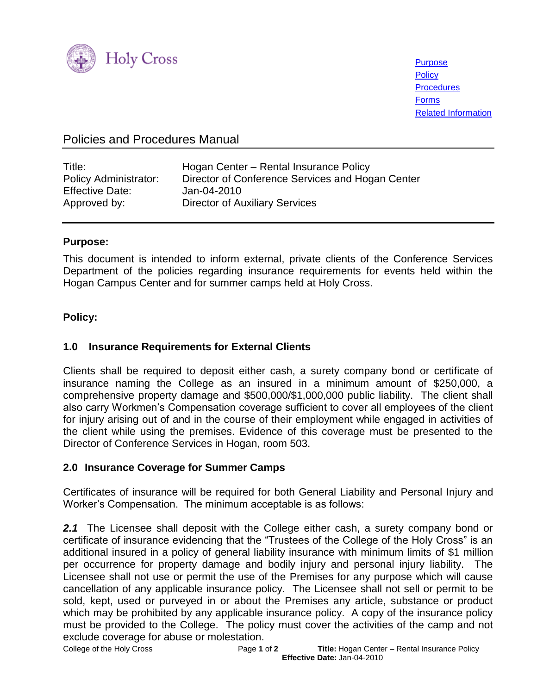

**[Purpose](#page-0-0) [Policy](#page-0-1) [Procedures](#page-1-0)** [Forms](#page-1-1) [Related Information](#page-1-2)

# Policies and Procedures Manual

| Title:                       | Hogan Center - Rental Insurance Policy           |
|------------------------------|--------------------------------------------------|
| <b>Policy Administrator:</b> | Director of Conference Services and Hogan Center |
| <b>Effective Date:</b>       | Jan-04-2010                                      |
| Approved by:                 | <b>Director of Auxiliary Services</b>            |

### <span id="page-0-0"></span>**Purpose:**

This document is intended to inform external, private clients of the Conference Services Department of the policies regarding insurance requirements for events held within the Hogan Campus Center and for summer camps held at Holy Cross.

## <span id="page-0-1"></span>**Policy:**

## **1.0****Insurance Requirements for External Clients**

Clients shall be required to deposit either cash, a surety company bond or certificate of insurance naming the College as an insured in a minimum amount of \$250,000, a comprehensive property damage and \$500,000/\$1,000,000 public liability. The client shall also carry Workmen's Compensation coverage sufficient to cover all employees of the client for injury arising out of and in the course of their employment while engaged in activities of the client while using the premises. Evidence of this coverage must be presented to the Director of Conference Services in Hogan, room 503.

## **2.0 Insurance Coverage for Summer Camps**

Certificates of insurance will be required for both General Liability and Personal Injury and Worker's Compensation. The minimum acceptable is as follows:

**2.1** The Licensee shall deposit with the College either cash, a surety company bond or certificate of insurance evidencing that the "Trustees of the College of the Holy Cross" is an additional insured in a policy of general liability insurance with minimum limits of \$1 million per occurrence for property damage and bodily injury and personal injury liability. The Licensee shall not use or permit the use of the Premises for any purpose which will cause cancellation of any applicable insurance policy. The Licensee shall not sell or permit to be sold, kept, used or purveyed in or about the Premises any article, substance or product which may be prohibited by any applicable insurance policy. A copy of the insurance policy must be provided to the College. The policy must cover the activities of the camp and not exclude coverage for abuse or molestation.